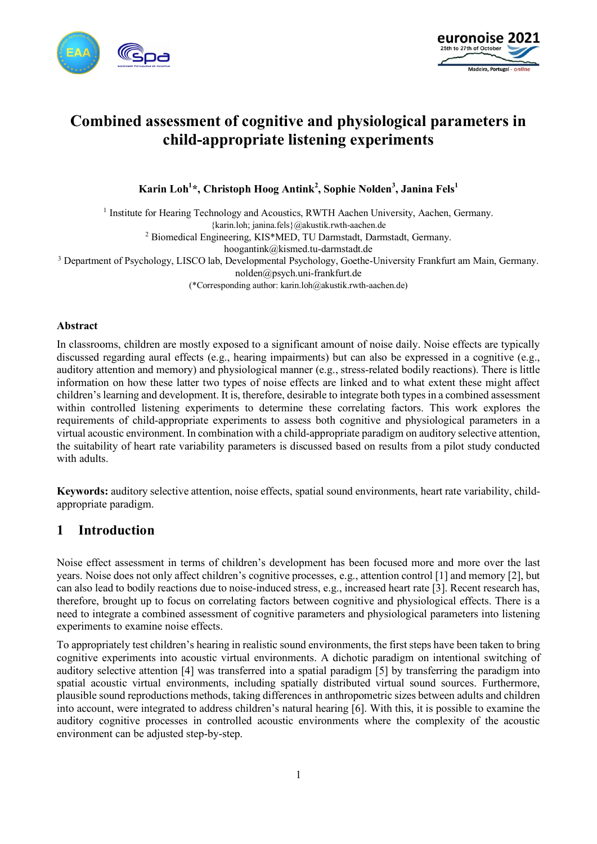



# **Combined assessment of cognitive and physiological parameters in child-appropriate listening experiments**

**Karin Loh1 \*, Christoph Hoog Antink<sup>2</sup> , Sophie Nolden<sup>3</sup> , Janina Fels<sup>1</sup>**

<sup>1</sup> Institute for Hearing Technology and Acoustics, RWTH Aachen University, Aachen, Germany. {karin.loh; janina.fels}@akustik.rwth-aachen.de <sup>2</sup> Biomedical Engineering, KIS\*MED, TU Darmstadt, Darmstadt, Germany. hoogantink@kismed.tu-darmstadt.de <sup>3</sup> Department of Psychology, LISCO lab, Developmental Psychology, Goethe-University Frankfurt am Main, Germany. nolden@psych.uni-frankfurt.de (\*Corresponding author: karin.loh@akustik.rwth-aachen.de)

#### **Abstract**

In classrooms, children are mostly exposed to a significant amount of noise daily. Noise effects are typically discussed regarding aural effects (e.g., hearing impairments) but can also be expressed in a cognitive (e.g., auditory attention and memory) and physiological manner (e.g., stress-related bodily reactions). There is little information on how these latter two types of noise effects are linked and to what extent these might affect children's learning and development. It is, therefore, desirable to integrate both types in a combined assessment within controlled listening experiments to determine these correlating factors. This work explores the requirements of child-appropriate experiments to assess both cognitive and physiological parameters in a virtual acoustic environment. In combination with a child-appropriate paradigm on auditory selective attention, the suitability of heart rate variability parameters is discussed based on results from a pilot study conducted with adults.

**Keywords:** auditory selective attention, noise effects, spatial sound environments, heart rate variability, childappropriate paradigm.

# **1 Introduction**

Noise effect assessment in terms of children's development has been focused more and more over the last years. Noise does not only affect children's cognitive processes, e.g., attention control [1] and memory [2], but can also lead to bodily reactions due to noise-induced stress, e.g., increased heart rate [3]. Recent research has, therefore, brought up to focus on correlating factors between cognitive and physiological effects. There is a need to integrate a combined assessment of cognitive parameters and physiological parameters into listening experiments to examine noise effects.

To appropriately test children's hearing in realistic sound environments, the first steps have been taken to bring cognitive experiments into acoustic virtual environments. A dichotic paradigm on intentional switching of auditory selective attention [4] was transferred into a spatial paradigm [5] by transferring the paradigm into spatial acoustic virtual environments, including spatially distributed virtual sound sources. Furthermore, plausible sound reproductions methods, taking differences in anthropometric sizes between adults and children into account, were integrated to address children's natural hearing [6]. With this, it is possible to examine the auditory cognitive processes in controlled acoustic environments where the complexity of the acoustic environment can be adjusted step-by-step.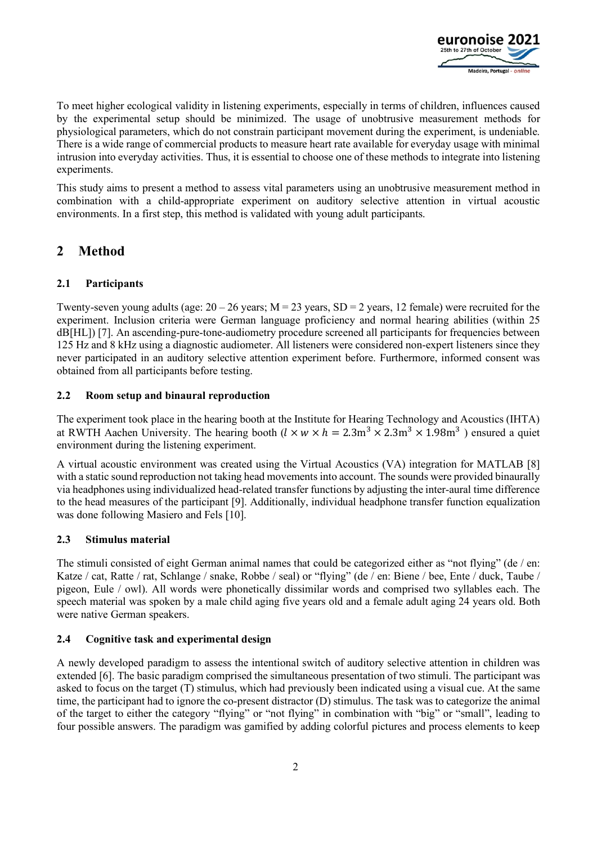

To meet higher ecological validity in listening experiments, especially in terms of children, influences caused by the experimental setup should be minimized. The usage of unobtrusive measurement methods for physiological parameters, which do not constrain participant movement during the experiment, is undeniable. There is a wide range of commercial products to measure heart rate available for everyday usage with minimal intrusion into everyday activities. Thus, it is essential to choose one of these methods to integrate into listening experiments.

This study aims to present a method to assess vital parameters using an unobtrusive measurement method in combination with a child-appropriate experiment on auditory selective attention in virtual acoustic environments. In a first step, this method is validated with young adult participants.

# **2 Method**

### **2.1 Participants**

Twenty-seven young adults (age:  $20 - 26$  years; M = 23 years, SD = 2 years, 12 female) were recruited for the experiment. Inclusion criteria were German language proficiency and normal hearing abilities (within 25 dB[HL]) [7]. An ascending-pure-tone-audiometry procedure screened all participants for frequencies between 125 Hz and 8 kHz using a diagnostic audiometer. All listeners were considered non-expert listeners since they never participated in an auditory selective attention experiment before. Furthermore, informed consent was obtained from all participants before testing.

#### **2.2 Room setup and binaural reproduction**

The experiment took place in the hearing booth at the Institute for Hearing Technology and Acoustics (IHTA) at RWTH Aachen University. The hearing booth ( $l \times w \times h = 2.3$ m<sup>3</sup> × 2.3m<sup>3</sup> × 1.98m<sup>3</sup>) ensured a quiet environment during the listening experiment.

A virtual acoustic environment was created using the Virtual Acoustics (VA) integration for MATLAB [8] with a static sound reproduction not taking head movements into account. The sounds were provided binaurally via headphones using individualized head-related transfer functions by adjusting the inter-aural time difference to the head measures of the participant [9]. Additionally, individual headphone transfer function equalization was done following Masiero and Fels [10].

#### **2.3 Stimulus material**

The stimuli consisted of eight German animal names that could be categorized either as "not flying" (de / en: Katze / cat, Ratte / rat, Schlange / snake, Robbe / seal) or "flying" (de / en: Biene / bee, Ente / duck, Taube / pigeon, Eule / owl). All words were phonetically dissimilar words and comprised two syllables each. The speech material was spoken by a male child aging five years old and a female adult aging 24 years old. Both were native German speakers.

#### **2.4 Cognitive task and experimental design**

A newly developed paradigm to assess the intentional switch of auditory selective attention in children was extended [6]. The basic paradigm comprised the simultaneous presentation of two stimuli. The participant was asked to focus on the target (T) stimulus, which had previously been indicated using a visual cue. At the same time, the participant had to ignore the co-present distractor (D) stimulus. The task was to categorize the animal of the target to either the category "flying" or "not flying" in combination with "big" or "small", leading to four possible answers. The paradigm was gamified by adding colorful pictures and process elements to keep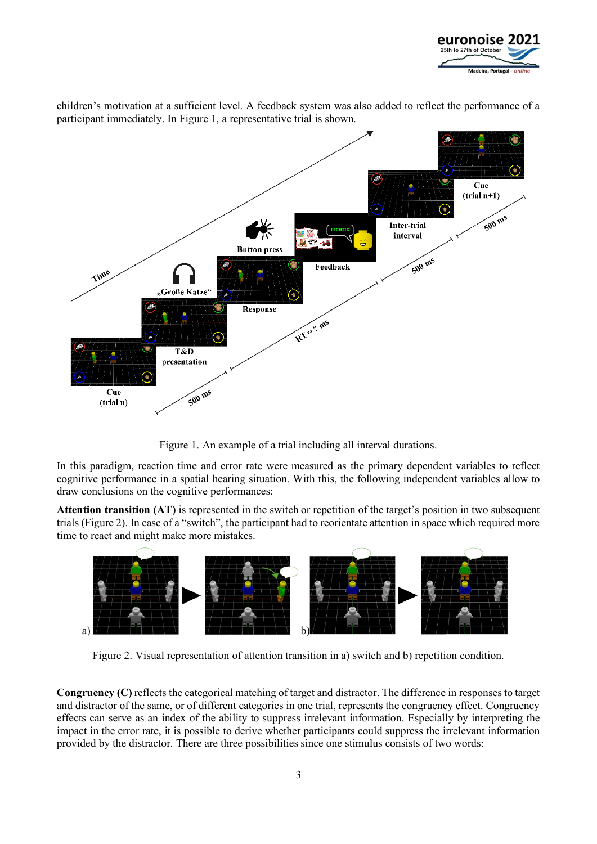

children's motivation at a sufficient level. A feedback system was also added to reflect the performance of a participant immediately. In [Figure 1,](#page-2-0) a representative trial is shown.



Figure 1. An example of a trial including all interval durations.

<span id="page-2-0"></span>In this paradigm, reaction time and error rate were measured as the primary dependent variables to reflect cognitive performance in a spatial hearing situation. With this, the following independent variables allow to draw conclusions on the cognitive performances:

**Attention transition (AT)** is represented in the switch or repetition of the target's position in two subsequent trials [\(Figure 2\)](#page-2-1). In case of a "switch", the participant had to reorientate attention in space which required more time to react and might make more mistakes.



<span id="page-2-1"></span>Figure 2. Visual representation of attention transition in a) switch and b) repetition condition.

**Congruency (C)** reflects the categorical matching of target and distractor. The difference in responses to target and distractor of the same, or of different categories in one trial, represents the congruency effect. Congruency effects can serve as an index of the ability to suppress irrelevant information. Especially by interpreting the impact in the error rate, it is possible to derive whether participants could suppress the irrelevant information provided by the distractor. There are three possibilities since one stimulus consists of two words: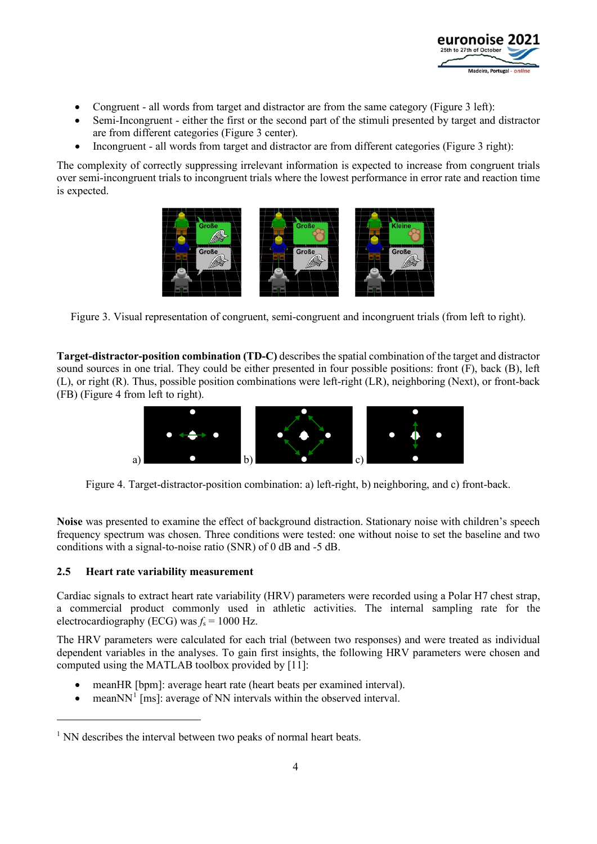

- Congruent all words from target and distractor are from the same category [\(Figure 3](#page-3-0) left):
- Semi-Incongruent either the first or the second part of the stimuli presented by target and distractor are from different categories [\(Figure 3](#page-3-0) center).
- Incongruent all words from target and distractor are from different categories [\(Figure 3](#page-3-0) right):

The complexity of correctly suppressing irrelevant information is expected to increase from congruent trials over semi-incongruent trials to incongruent trials where the lowest performance in error rate and reaction time is expected.



<span id="page-3-0"></span>Figure 3. Visual representation of congruent, semi-congruent and incongruent trials (from left to right).

**Target-distractor-position combination (TD-C)** describes the spatial combination of the target and distractor sound sources in one trial. They could be either presented in four possible positions: front (F), back (B), left (L), or right (R). Thus, possible position combinations were left-right (LR), neighboring (Next), or front-back (FB) [\(Figure 4](#page-3-1) from left to right).



<span id="page-3-1"></span>Figure 4. Target-distractor-position combination: a) left-right, b) neighboring, and c) front-back.

**Noise** was presented to examine the effect of background distraction. Stationary noise with children's speech frequency spectrum was chosen. Three conditions were tested: one without noise to set the baseline and two conditions with a signal-to-noise ratio (SNR) of 0 dB and -5 dB.

#### **2.5 Heart rate variability measurement**

Cardiac signals to extract heart rate variability (HRV) parameters were recorded using a Polar H7 chest strap, a commercial product commonly used in athletic activities. The internal sampling rate for the electrocardiography (ECG) was  $f_s = 1000$  Hz.

The HRV parameters were calculated for each trial (between two responses) and were treated as individual dependent variables in the analyses. To gain first insights, the following HRV parameters were chosen and computed using the MATLAB toolbox provided by [11]:

- meanHR [bpm]: average heart rate (heart beats per examined interval).
- mean $NN<sup>1</sup>$  $NN<sup>1</sup>$  $NN<sup>1</sup>$  [ms]: average of NN intervals within the observed interval.

<span id="page-3-2"></span> $1$  NN describes the interval between two peaks of normal heart beats.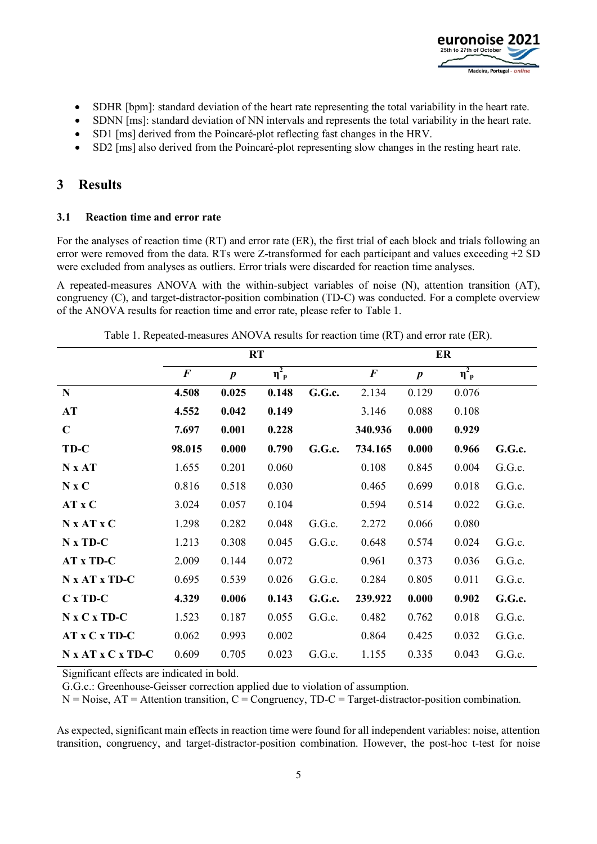

- SDHR [bpm]: standard deviation of the heart rate representing the total variability in the heart rate.
- SDNN [ms]: standard deviation of NN intervals and represents the total variability in the heart rate.
- SD1 [ms] derived from the Poincaré-plot reflecting fast changes in the HRV.
- SD2 [ms] also derived from the Poincaré-plot representing slow changes in the resting heart rate.

# **3 Results**

#### **3.1 Reaction time and error rate**

For the analyses of reaction time (RT) and error rate (ER), the first trial of each block and trials following an error were removed from the data. RTs were Z-transformed for each participant and values exceeding +2 SD were excluded from analyses as outliers. Error trials were discarded for reaction time analyses.

A repeated-measures ANOVA with the within-subject variables of noise (N), attention transition (AT), congruency (C), and target-distractor-position combination (TD-C) was conducted. For a complete overview of the ANOVA results for reaction time and error rate, please refer to [Table 1.](#page-4-0)

<span id="page-4-0"></span>

|                   | <b>RT</b> |                  |                       |        | ER               |                  |                       |        |  |
|-------------------|-----------|------------------|-----------------------|--------|------------------|------------------|-----------------------|--------|--|
|                   | $\bm{F}$  | $\boldsymbol{p}$ | $\eta^2$ <sub>p</sub> |        | $\boldsymbol{F}$ | $\boldsymbol{p}$ | $\eta^2$ <sub>p</sub> |        |  |
| N                 | 4.508     | 0.025            | 0.148                 | G.G.c. | 2.134            | 0.129            | 0.076                 |        |  |
| AT                | 4.552     | 0.042            | 0.149                 |        | 3.146            | 0.088            | 0.108                 |        |  |
| $\mathbf C$       | 7.697     | 0.001            | 0.228                 |        | 340.936          | 0.000            | 0.929                 |        |  |
| TD-C              | 98.015    | 0.000            | 0.790                 | G.G.c. | 734.165          | 0.000            | 0.966                 | G.G.c. |  |
| N x AT            | 1.655     | 0.201            | 0.060                 |        | 0.108            | 0.845            | 0.004                 | G.G.c. |  |
| N x C             | 0.816     | 0.518            | 0.030                 |        | 0.465            | 0.699            | 0.018                 | G.G.c. |  |
| AT x C            | 3.024     | 0.057            | 0.104                 |        | 0.594            | 0.514            | 0.022                 | G.G.c. |  |
| N x AT x C        | 1.298     | 0.282            | 0.048                 | G.G.c. | 2.272            | 0.066            | 0.080                 |        |  |
| N x TD-C          | 1.213     | 0.308            | 0.045                 | G.G.c. | 0.648            | 0.574            | 0.024                 | G.G.c. |  |
| AT x TD-C         | 2.009     | 0.144            | 0.072                 |        | 0.961            | 0.373            | 0.036                 | G.G.c. |  |
| N x AT x TD-C     | 0.695     | 0.539            | 0.026                 | G.G.c. | 0.284            | 0.805            | 0.011                 | G.G.c. |  |
| $C x TD-C$        | 4.329     | 0.006            | 0.143                 | G.G.c. | 239.922          | 0.000            | 0.902                 | G.G.c. |  |
| $N x C x T D-C$   | 1.523     | 0.187            | 0.055                 | G.G.c. | 0.482            | 0.762            | 0.018                 | G.G.c. |  |
| AT x C x TD-C     | 0.062     | 0.993            | 0.002                 |        | 0.864            | 0.425            | 0.032                 | G.G.c. |  |
| N x AT x C x TD-C | 0.609     | 0.705            | 0.023                 | G.G.c. | 1.155            | 0.335            | 0.043                 | G.G.c. |  |

Table 1. Repeated-measures ANOVA results for reaction time (RT) and error rate (ER).

Significant effects are indicated in bold.

G.G.c.: Greenhouse-Geisser correction applied due to violation of assumption.

 $N = Noise, AT = Attention transition, C = Congruency, TD-C = Target-distraction-position combination.$ 

As expected, significant main effects in reaction time were found for all independent variables: noise, attention transition, congruency, and target-distractor-position combination. However, the post-hoc t-test for noise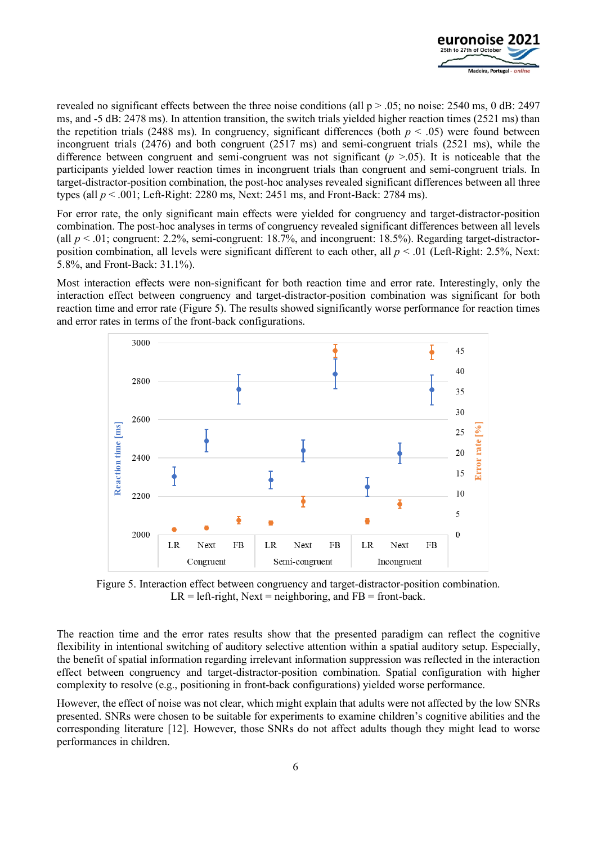

revealed no significant effects between the three noise conditions (all p > .05; no noise: 2540 ms, 0 dB: 2497 ms, and -5 dB: 2478 ms). In attention transition, the switch trials yielded higher reaction times (2521 ms) than the repetition trials (2488 ms). In congruency, significant differences (both  $p < .05$ ) were found between incongruent trials (2476) and both congruent (2517 ms) and semi-congruent trials (2521 ms), while the difference between congruent and semi-congruent was not significant  $(p > 0.05)$ . It is noticeable that the participants yielded lower reaction times in incongruent trials than congruent and semi-congruent trials. In target-distractor-position combination, the post-hoc analyses revealed significant differences between all three types (all *p* < .001; Left-Right: 2280 ms, Next: 2451 ms, and Front-Back: 2784 ms).

For error rate, the only significant main effects were yielded for congruency and target-distractor-position combination. The post-hoc analyses in terms of congruency revealed significant differences between all levels (all  $p < 0.01$ ; congruent: 2.2%, semi-congruent: 18.7%, and incongruent: 18.5%). Regarding target-distractorposition combination, all levels were significant different to each other, all *p* < .01 (Left-Right: 2.5%, Next: 5.8%, and Front-Back: 31.1%).

Most interaction effects were non-significant for both reaction time and error rate. Interestingly, only the interaction effect between congruency and target-distractor-position combination was significant for both reaction time and error rate [\(Figure 5\)](#page-5-0). The results showed significantly worse performance for reaction times and error rates in terms of the front-back configurations.



<span id="page-5-0"></span>Figure 5. Interaction effect between congruency and target-distractor-position combination.  $LR = left-right$ , Next = neighboring, and  $FB = front-back$ .

The reaction time and the error rates results show that the presented paradigm can reflect the cognitive flexibility in intentional switching of auditory selective attention within a spatial auditory setup. Especially, the benefit of spatial information regarding irrelevant information suppression was reflected in the interaction effect between congruency and target-distractor-position combination. Spatial configuration with higher complexity to resolve (e.g., positioning in front-back configurations) yielded worse performance.

However, the effect of noise was not clear, which might explain that adults were not affected by the low SNRs presented. SNRs were chosen to be suitable for experiments to examine children's cognitive abilities and the corresponding literature [12]. However, those SNRs do not affect adults though they might lead to worse performances in children.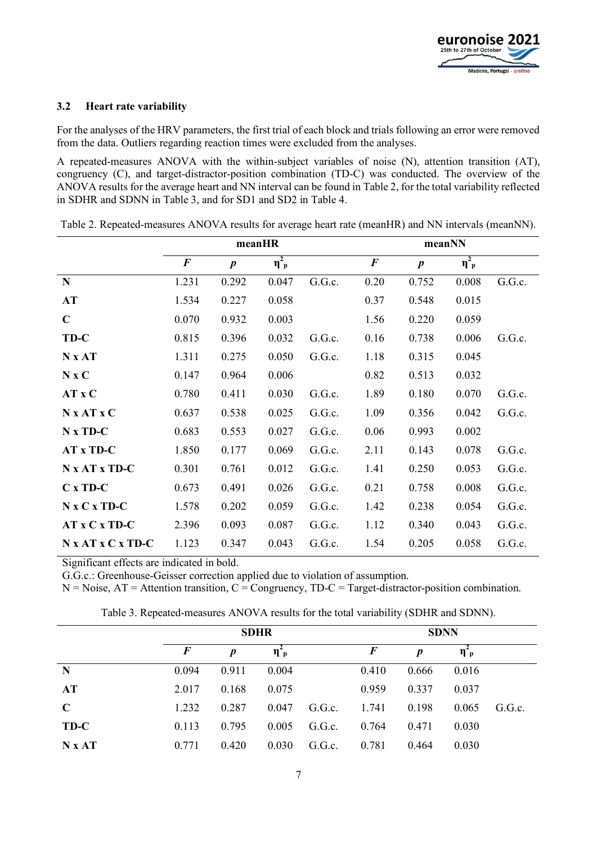#### **3.2 Heart rate variability**

For the analyses of the HRV parameters, the first trial of each block and trials following an error were removed from the data. Outliers regarding reaction times were excluded from the analyses.

A repeated-measures ANOVA with the within-subject variables of noise (N), attention transition (AT), congruency (C), and target-distractor-position combination (TD-C) was conducted. The overview of the ANOVA results for the average heart and NN interval can be found in [Table 2,](#page-6-0) for the total variability reflected in SDHR and SDNN i[n Table 3,](#page-6-1) and for SD1 and SD2 in [Table 4.](#page-7-0)

<span id="page-6-0"></span>

| Table 2. Repeated-measures ANOVA results for average heart rate (meanHR) and NN intervals (meanNN). |  |  |  |  |
|-----------------------------------------------------------------------------------------------------|--|--|--|--|
|                                                                                                     |  |  |  |  |

|                   | meanHR   |                  |                       |        | meanNN           |                  |                       |        |  |
|-------------------|----------|------------------|-----------------------|--------|------------------|------------------|-----------------------|--------|--|
|                   | $\bm{F}$ | $\boldsymbol{p}$ | $\eta^2$ <sub>p</sub> |        | $\boldsymbol{F}$ | $\boldsymbol{p}$ | $\eta^2$ <sub>p</sub> |        |  |
| N                 | 1.231    | 0.292            | 0.047                 | G.G.c. | 0.20             | 0.752            | 0.008                 | G.G.c. |  |
| AT                | 1.534    | 0.227            | 0.058                 |        | 0.37             | 0.548            | 0.015                 |        |  |
| $\mathbf C$       | 0.070    | 0.932            | 0.003                 |        | 1.56             | 0.220            | 0.059                 |        |  |
| TD-C              | 0.815    | 0.396            | 0.032                 | G.G.c. | 0.16             | 0.738            | 0.006                 | G.G.c. |  |
| N x AT            | 1.311    | 0.275            | 0.050                 | G.G.c. | 1.18             | 0.315            | 0.045                 |        |  |
| N x C             | 0.147    | 0.964            | 0.006                 |        | 0.82             | 0.513            | 0.032                 |        |  |
| AT x C            | 0.780    | 0.411            | 0.030                 | G.G.c. | 1.89             | 0.180            | 0.070                 | G.G.c. |  |
| N x AT x C        | 0.637    | 0.538            | 0.025                 | G.G.c. | 1.09             | 0.356            | 0.042                 | G.G.c. |  |
| $N x TD-C$        | 0.683    | 0.553            | 0.027                 | G.G.c. | 0.06             | 0.993            | 0.002                 |        |  |
| AT x TD-C         | 1.850    | 0.177            | 0.069                 | G.G.c. | 2.11             | 0.143            | 0.078                 | G.G.c. |  |
| N x AT x TD-C     | 0.301    | 0.761            | 0.012                 | G.G.c. | 1.41             | 0.250            | 0.053                 | G.G.c. |  |
| $C x TD-C$        | 0.673    | 0.491            | 0.026                 | G.G.c. | 0.21             | 0.758            | 0.008                 | G.G.c. |  |
| N x C x TD-C      | 1.578    | 0.202            | 0.059                 | G.G.c. | 1.42             | 0.238            | 0.054                 | G.G.c. |  |
| AT x C x TD-C     | 2.396    | 0.093            | 0.087                 | G.G.c. | 1.12             | 0.340            | 0.043                 | G.G.c. |  |
| N x AT x C x TD-C | 1.123    | 0.347            | 0.043                 | G.G.c. | 1.54             | 0.205            | 0.058                 | G.G.c. |  |

Significant effects are indicated in bold.

G.G.c.: Greenhouse-Geisser correction applied due to violation of assumption.

<span id="page-6-1"></span> $N = Noise, AT = Attention transition, C = Congruency, TD-C = Target-distraction-position combination.$ 

Table 3. Repeated-measures ANOVA results for the total variability (SDHR and SDNN).

|             |          | <b>SDHR</b>      |            |        |          | <b>SDNN</b> |                                      |        |  |  |
|-------------|----------|------------------|------------|--------|----------|-------------|--------------------------------------|--------|--|--|
|             | $\bm{F}$ | $\boldsymbol{p}$ | $\eta_{p}$ |        | $\bm{F}$ | p           | $\mathbf{n}$ <sup>-</sup> $_{\rm p}$ |        |  |  |
| N           | 0.094    | 0.911            | 0.004      |        | 0.410    | 0.666       | 0.016                                |        |  |  |
| AT          | 2.017    | 0.168            | 0.075      |        | 0.959    | 0.337       | 0.037                                |        |  |  |
| $\mathbf C$ | 1.232    | 0.287            | 0.047      | G.G.c. | 1.741    | 0.198       | 0.065                                | G.G.c. |  |  |
| TD-C        | 0.113    | 0.795            | 0.005      | G.G.c. | 0.764    | 0.471       | 0.030                                |        |  |  |
| N x AT      | 0.771    | 0.420            | 0.030      | G.G.c. | 0.781    | 0.464       | 0.030                                |        |  |  |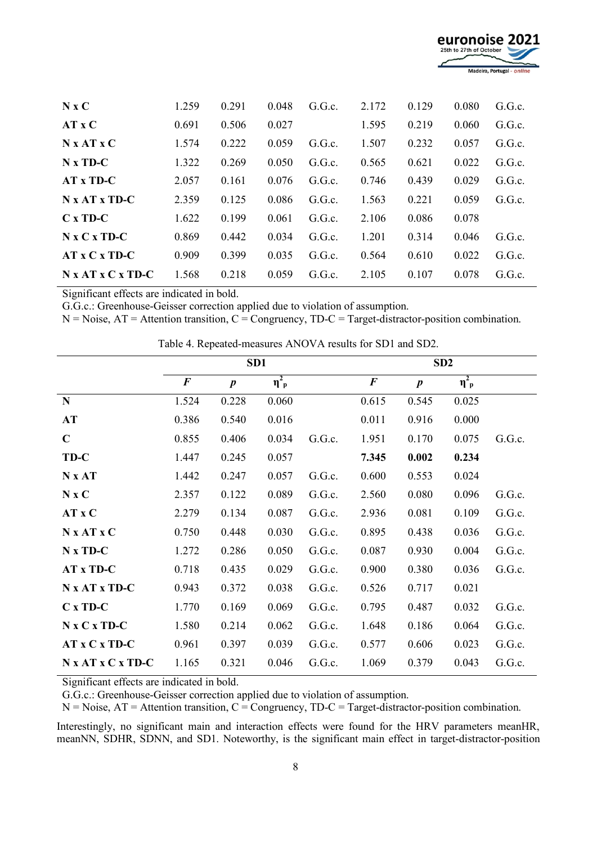|                   |       |       |       |        |       |       |       | Madeira, Portugal - online |
|-------------------|-------|-------|-------|--------|-------|-------|-------|----------------------------|
| N x C             | 1.259 | 0.291 | 0.048 | G.G.c. | 2.172 | 0.129 | 0.080 | G.G.c.                     |
| AT x C            | 0.691 | 0.506 | 0.027 |        | 1.595 | 0.219 | 0.060 | G.G.c.                     |
| N x AT x C        | 1.574 | 0.222 | 0.059 | G.G.c. | 1.507 | 0.232 | 0.057 | G.G.c.                     |
| N x TD-C          | 1.322 | 0.269 | 0.050 | G.G.c. | 0.565 | 0.621 | 0.022 | G.G.c.                     |
| AT x TD-C         | 2.057 | 0.161 | 0.076 | G.G.c. | 0.746 | 0.439 | 0.029 | G.G.c.                     |
| N x AT x TD-C     | 2.359 | 0.125 | 0.086 | G.G.c. | 1.563 | 0.221 | 0.059 | G.G.c.                     |
| $C x TD-C$        | 1.622 | 0.199 | 0.061 | G.G.c. | 2.106 | 0.086 | 0.078 |                            |
| N x C x TD-C      | 0.869 | 0.442 | 0.034 | G.G.c. | 1.201 | 0.314 | 0.046 | G.G.c.                     |
| AT x C x TD-C     | 0.909 | 0.399 | 0.035 | G.G.c. | 0.564 | 0.610 | 0.022 | G.G.c.                     |
| N x AT x C x TD-C | 1.568 | 0.218 | 0.059 | G.G.c. | 2.105 | 0.107 | 0.078 | G.G.c.                     |

euronoise 2021

25th to 27th of October

Significant effects are indicated in bold.

G.G.c.: Greenhouse-Geisser correction applied due to violation of assumption.

<span id="page-7-0"></span> $N = Noise, AT = Attention transition, C = Congruency, TD-C = Target-distraction position combination.$ 

|                   | SD <sub>1</sub>  |                  |                       |        | SD2              |                  |                       |        |  |
|-------------------|------------------|------------------|-----------------------|--------|------------------|------------------|-----------------------|--------|--|
|                   | $\boldsymbol{F}$ | $\boldsymbol{p}$ | $\eta^2$ <sub>p</sub> |        | $\boldsymbol{F}$ | $\boldsymbol{p}$ | $\eta^2$ <sub>p</sub> |        |  |
| N                 | 1.524            | 0.228            | 0.060                 |        | 0.615            | 0.545            | 0.025                 |        |  |
| <b>AT</b>         | 0.386            | 0.540            | 0.016                 |        | 0.011            | 0.916            | 0.000                 |        |  |
| $\mathbf C$       | 0.855            | 0.406            | 0.034                 | G.G.c. | 1.951            | 0.170            | 0.075                 | G.G.c. |  |
| TD-C              | 1.447            | 0.245            | 0.057                 |        | 7.345            | 0.002            | 0.234                 |        |  |
| N x AT            | 1.442            | 0.247            | 0.057                 | G.G.c. | 0.600            | 0.553            | 0.024                 |        |  |
| N x C             | 2.357            | 0.122            | 0.089                 | G.G.c. | 2.560            | 0.080            | 0.096                 | G.G.c. |  |
| AT x C            | 2.279            | 0.134            | 0.087                 | G.G.c. | 2.936            | 0.081            | 0.109                 | G.G.c. |  |
| N x AT x C        | 0.750            | 0.448            | 0.030                 | G.G.c. | 0.895            | 0.438            | 0.036                 | G.G.c. |  |
| N x TD-C          | 1.272            | 0.286            | 0.050                 | G.G.c. | 0.087            | 0.930            | 0.004                 | G.G.c. |  |
| AT x TD-C         | 0.718            | 0.435            | 0.029                 | G.G.c. | 0.900            | 0.380            | 0.036                 | G.G.c. |  |
| $N x AT x TD-C$   | 0.943            | 0.372            | 0.038                 | G.G.c. | 0.526            | 0.717            | 0.021                 |        |  |
| $C x TD-C$        | 1.770            | 0.169            | 0.069                 | G.G.c. | 0.795            | 0.487            | 0.032                 | G.G.c. |  |
| $N x C x T D-C$   | 1.580            | 0.214            | 0.062                 | G.G.c. | 1.648            | 0.186            | 0.064                 | G.G.c. |  |
| AT x C x TD-C     | 0.961            | 0.397            | 0.039                 | G.G.c. | 0.577            | 0.606            | 0.023                 | G.G.c. |  |
| N x AT x C x TD-C | 1.165            | 0.321            | 0.046                 | G.G.c. | 1.069            | 0.379            | 0.043                 | G.G.c. |  |

Table 4. Repeated-measures ANOVA results for SD1 and SD2.

Significant effects are indicated in bold.

G.G.c.: Greenhouse-Geisser correction applied due to violation of assumption.

 $N = Noise, AT = Attention transition, C = Congruency, TD-C = Target-distraction-position combination.$ 

Interestingly, no significant main and interaction effects were found for the HRV parameters meanHR, meanNN, SDHR, SDNN, and SD1. Noteworthy, is the significant main effect in target-distractor-position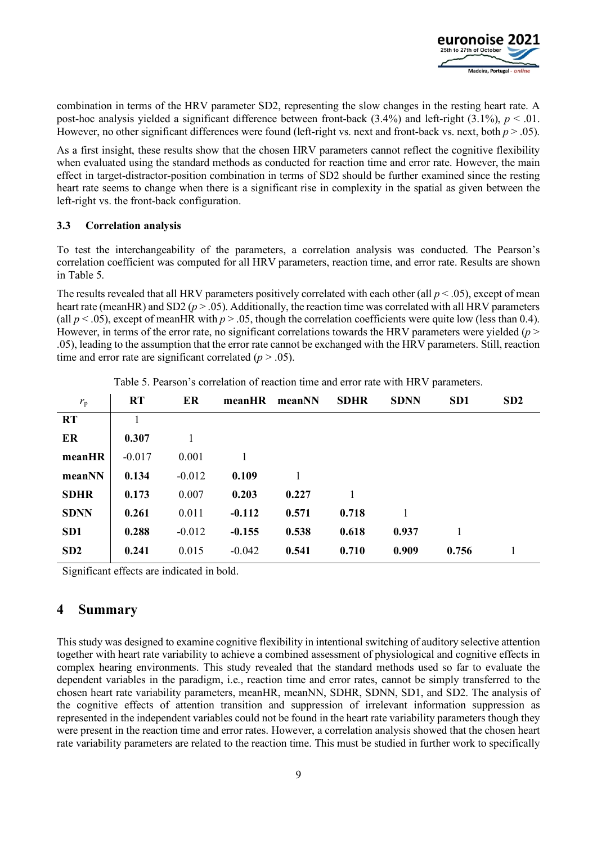

combination in terms of the HRV parameter SD2, representing the slow changes in the resting heart rate. A post-hoc analysis yielded a significant difference between front-back  $(3.4\%)$  and left-right  $(3.1\%)$ ,  $p < .01$ . However, no other significant differences were found (left-right vs. next and front-back vs. next, both *p* > .05).

As a first insight, these results show that the chosen HRV parameters cannot reflect the cognitive flexibility when evaluated using the standard methods as conducted for reaction time and error rate. However, the main effect in target-distractor-position combination in terms of SD2 should be further examined since the resting heart rate seems to change when there is a significant rise in complexity in the spatial as given between the left-right vs. the front-back configuration.

#### **3.3 Correlation analysis**

To test the interchangeability of the parameters, a correlation analysis was conducted. The Pearson's correlation coefficient was computed for all HRV parameters, reaction time, and error rate. Results are shown in [Table 5.](#page-8-0)

The results revealed that all HRV parameters positively correlated with each other (all  $p < .05$ ), except of mean heart rate (meanHR) and SD2 ( $p > .05$ ). Additionally, the reaction time was correlated with all HRV parameters (all  $p < .05$ ), except of meanHR with  $p > .05$ , though the correlation coefficients were quite low (less than 0.4). However, in terms of the error rate, no significant correlations towards the HRV parameters were yielded (*p* > .05), leading to the assumption that the error rate cannot be exchanged with the HRV parameters. Still, reaction time and error rate are significant correlated  $(p > .05)$ .

<span id="page-8-0"></span>

| $r_{\rm p}$     | <b>RT</b> | ER       | meanHR   | meanNN | <b>SDHR</b> | <b>SDNN</b> | SD <sub>1</sub> | SD2 |
|-----------------|-----------|----------|----------|--------|-------------|-------------|-----------------|-----|
| <b>RT</b>       |           |          |          |        |             |             |                 |     |
| ER              | 0.307     |          |          |        |             |             |                 |     |
| meanHR          | $-0.017$  | 0.001    |          |        |             |             |                 |     |
| meanNN          | 0.134     | $-0.012$ | 0.109    |        |             |             |                 |     |
| <b>SDHR</b>     | 0.173     | 0.007    | 0.203    | 0.227  |             |             |                 |     |
| <b>SDNN</b>     | 0.261     | 0.011    | $-0.112$ | 0.571  | 0.718       |             |                 |     |
| SD <sub>1</sub> | 0.288     | $-0.012$ | $-0.155$ | 0.538  | 0.618       | 0.937       |                 |     |
| SD2             | 0.241     | 0.015    | $-0.042$ | 0.541  | 0.710       | 0.909       | 0.756           |     |

Table 5. Pearson's correlation of reaction time and error rate with HRV parameters.

Significant effects are indicated in bold.

## **4 Summary**

This study was designed to examine cognitive flexibility in intentional switching of auditory selective attention together with heart rate variability to achieve a combined assessment of physiological and cognitive effects in complex hearing environments. This study revealed that the standard methods used so far to evaluate the dependent variables in the paradigm, i.e., reaction time and error rates, cannot be simply transferred to the chosen heart rate variability parameters, meanHR, meanNN, SDHR, SDNN, SD1, and SD2. The analysis of the cognitive effects of attention transition and suppression of irrelevant information suppression as represented in the independent variables could not be found in the heart rate variability parameters though they were present in the reaction time and error rates. However, a correlation analysis showed that the chosen heart rate variability parameters are related to the reaction time. This must be studied in further work to specifically